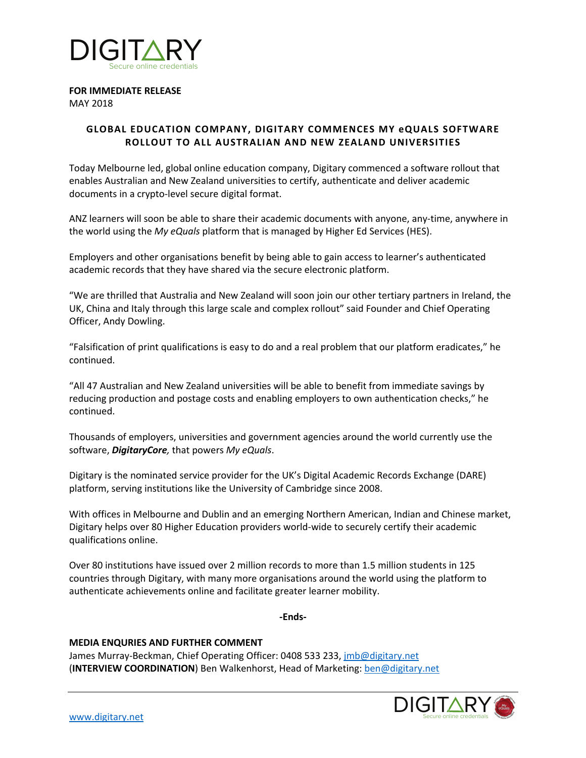

# **FOR IMMEDIATE RELEASE**

MAY 2018

# **GLOBAL EDUCATION COMPANY, DIGITARY COMMENCES MY eQUALS SOFTWARE ROLLOUT TO ALL AUSTRALIAN AND NEW ZEALAND UNIVERSITIES**

Today Melbourne led, global online education company, Digitary commenced a software rollout that enables Australian and New Zealand universities to certify, authenticate and deliver academic documents in a crypto-level secure digital format.

ANZ learners will soon be able to share their academic documents with anyone, any-time, anywhere in the world using the *My eQuals* platform that is managed by Higher Ed Services (HES).

Employers and other organisations benefit by being able to gain access to learner's authenticated academic records that they have shared via the secure electronic platform.

"We are thrilled that Australia and New Zealand will soon join our other tertiary partners in Ireland, the UK, China and Italy through this large scale and complex rollout" said Founder and Chief Operating Officer, Andy Dowling.

"Falsification of print qualifications is easy to do and a real problem that our platform eradicates," he continued.

"All 47 Australian and New Zealand universities will be able to benefit from immediate savings by reducing production and postage costs and enabling employers to own authentication checks," he continued.

Thousands of employers, universities and government agencies around the world currently use the software, *DigitaryCore,* that powers *My eQuals*.

Digitary is the nominated service provider for the UK's Digital Academic Records Exchange (DARE) platform, serving institutions like the University of Cambridge since 2008.

With offices in Melbourne and Dublin and an emerging Northern American, Indian and Chinese market, Digitary helps over 80 Higher Education providers world-wide to securely certify their academic qualifications online.

Over 80 institutions have issued over 2 million records to more than 1.5 million students in 125 countries through Digitary, with many more organisations around the world using the platform to authenticate achievements online and facilitate greater learner mobility.

**-Ends-**

## **MEDIA ENQURIES AND FURTHER COMMENT**

James Murray-Beckman, Chief Operating Officer: 0408 533 233, jmb@digitary.net (**INTERVIEW COORDINATION**) Ben Walkenhorst, Head of Marketing: ben@digitary.net

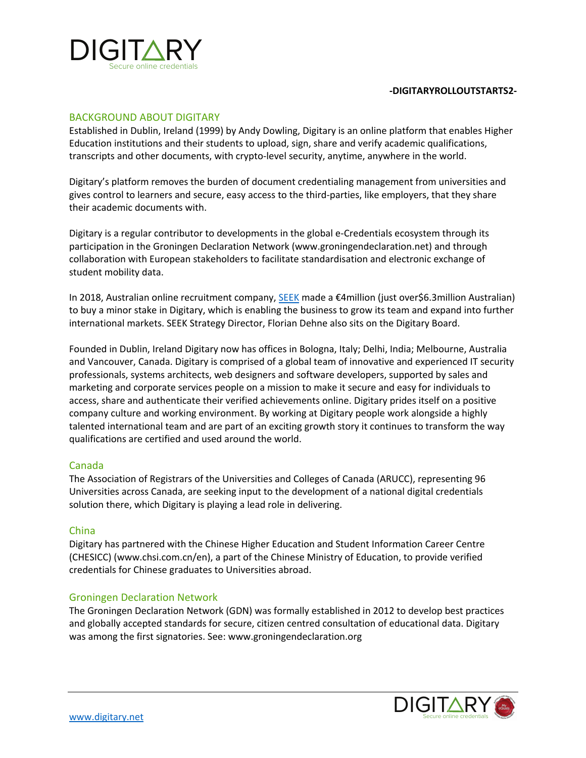

#### **-DIGITARYROLLOUTSTARTS2-**

#### BACKGROUND ABOUT DIGITARY

Established in Dublin, Ireland (1999) by Andy Dowling, Digitary is an online platform that enables Higher Education institutions and their students to upload, sign, share and verify academic qualifications, transcripts and other documents, with crypto-level security, anytime, anywhere in the world.

Digitary's platform removes the burden of document credentialing management from universities and gives control to learners and secure, easy access to the third-parties, like employers, that they share their academic documents with.

Digitary is a regular contributor to developments in the global e-Credentials ecosystem through its participation in the Groningen Declaration Network (www.groningendeclaration.net) and through collaboration with European stakeholders to facilitate standardisation and electronic exchange of student mobility data.

In 2018, Australian online recruitment company, **SEEK** made a €4million (just over\$6.3million Australian) to buy a minor stake in Digitary, which is enabling the business to grow its team and expand into further international markets. SEEK Strategy Director, Florian Dehne also sits on the Digitary Board.

Founded in Dublin, Ireland Digitary now has offices in Bologna, Italy; Delhi, India; Melbourne, Australia and Vancouver, Canada. Digitary is comprised of a global team of innovative and experienced IT security professionals, systems architects, web designers and software developers, supported by sales and marketing and corporate services people on a mission to make it secure and easy for individuals to access, share and authenticate their verified achievements online. Digitary prides itself on a positive company culture and working environment. By working at Digitary people work alongside a highly talented international team and are part of an exciting growth story it continues to transform the way qualifications are certified and used around the world.

## Canada

The Association of Registrars of the Universities and Colleges of Canada (ARUCC), representing 96 Universities across Canada, are seeking input to the development of a national digital credentials solution there, which Digitary is playing a lead role in delivering.

## China

Digitary has partnered with the Chinese Higher Education and Student Information Career Centre (CHESICC) (www.chsi.com.cn/en), a part of the Chinese Ministry of Education, to provide verified credentials for Chinese graduates to Universities abroad.

## Groningen Declaration Network

The Groningen Declaration Network (GDN) was formally established in 2012 to develop best practices and globally accepted standards for secure, citizen centred consultation of educational data. Digitary was among the first signatories. See: www.groningendeclaration.org